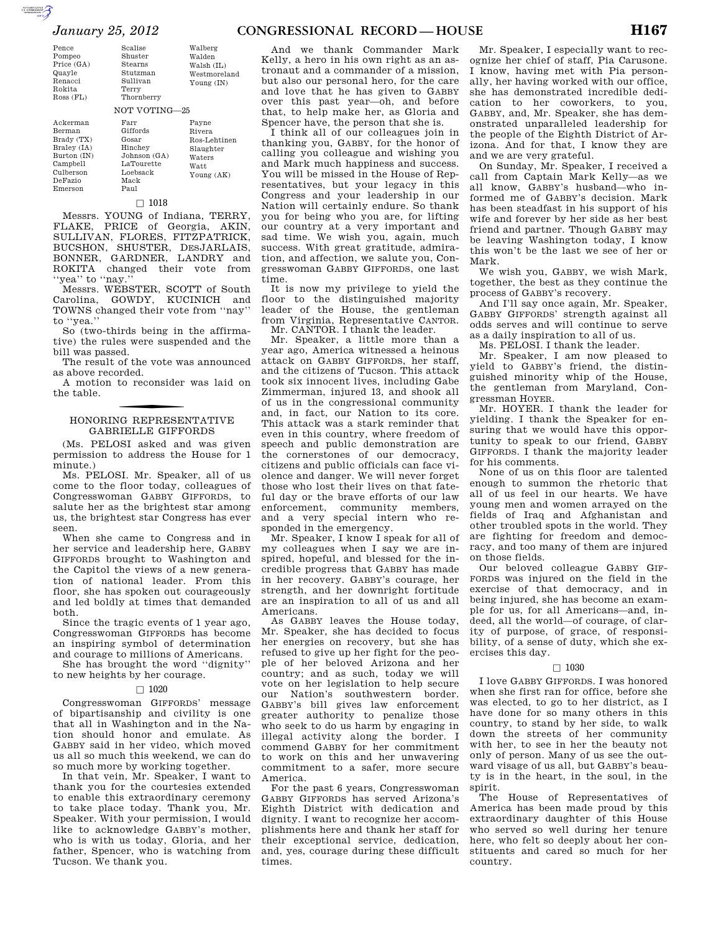Scalise Shuster Stearns Stutzman Sullivan

| Pence      |
|------------|
| Pompeo     |
| Price (GA) |
| Quavle     |
| Renacci    |
| Rokita     |
| Ross (FI.) |

AUTOROTOMICALE CONTINUES

### Terry Thornberry Young (IN)

Walberg Walden Walsh (IL) Westmoreland

# NOT VOTING—25

| Ackerman<br><b>Berman</b><br>Brady (TX)<br>Braley (IA)<br>Burton (IN)<br>Campbell<br>Culberson<br>DeFazio<br>Emerson | Farr<br>Giffords<br>Gosar<br>Hinchey<br>Johnson (GA)<br>LaTourette<br>Loebsack<br>Mack<br>Paul | Payne<br>Rivera<br>Ros-Lehtinen<br>Slaughter<br>Waters<br>Watt<br>Young (AK) |
|----------------------------------------------------------------------------------------------------------------------|------------------------------------------------------------------------------------------------|------------------------------------------------------------------------------|
|----------------------------------------------------------------------------------------------------------------------|------------------------------------------------------------------------------------------------|------------------------------------------------------------------------------|

### $\Box$  1018

Messrs. YOUNG of Indiana, TERRY, FLAKE, PRICE of Georgia, AKIN, SULLIVAN, FLORES, FITZPATRICK, BUCSHON, SHUSTER, DESJARLAIS, BONNER, GARDNER, LANDRY and ROKITA changed their vote from "yea" to "nay."

Messrs. WEBSTER, SCOTT of South Carolina, GOWDY, KUCINICH and TOWNS changed their vote from ''nay'' to ''yea.''

So (two-thirds being in the affirmative) the rules were suspended and the bill was passed.

The result of the vote was announced as above recorded.

A motion to reconsider was laid on the table.

# f HONORING REPRESENTATIVE GABRIELLE GIFFORDS

(Ms. PELOSI asked and was given permission to address the House for 1 minute.)

Ms. PELOSI. Mr. Speaker, all of us come to the floor today, colleagues of Congresswoman GABBY GIFFORDS, to salute her as the brightest star among us, the brightest star Congress has ever seen.

When she came to Congress and in her service and leadership here, GABBY GIFFORDS brought to Washington and the Capitol the views of a new generation of national leader. From this floor, she has spoken out courageously and led boldly at times that demanded both.

Since the tragic events of 1 year ago, Congresswoman GIFFORDS has become an inspiring symbol of determination and courage to millions of Americans.

She has brought the word ''dignity'' to new heights by her courage.

## $\Box$  1020

Congresswoman GIFFORDS' message of bipartisanship and civility is one that all in Washington and in the Nation should honor and emulate. As GABBY said in her video, which moved us all so much this weekend, we can do so much more by working together.

In that vein, Mr. Speaker, I want to thank you for the courtesies extended to enable this extraordinary ceremony to take place today. Thank you, Mr. Speaker. With your permission, I would like to acknowledge GABBY's mother, who is with us today, Gloria, and her father, Spencer, who is watching from Tucson. We thank you.

And we thank Commander Mark Kelly, a hero in his own right as an astronaut and a commander of a mission, but also our personal hero, for the care and love that he has given to GABBY over this past year—oh, and before that, to help make her, as Gloria and Spencer have, the person that she is.

I think all of our colleagues join in thanking you, GABBY, for the honor of calling you colleague and wishing you and Mark much happiness and success. You will be missed in the House of Representatives, but your legacy in this Congress and your leadership in our Nation will certainly endure. So thank you for being who you are, for lifting our country at a very important and sad time. We wish you, again, much success. With great gratitude, admiration, and affection, we salute you, Congresswoman GABBY GIFFORDS, one last time.

It is now my privilege to yield the floor to the distinguished majority leader of the House, the gentleman from Virginia, Representative CANTOR. Mr. CANTOR. I thank the leader.

Mr. Speaker, a little more than a year ago, America witnessed a heinous attack on GABBY GIFFORDS, her staff, and the citizens of Tucson. This attack took six innocent lives, including Gabe Zimmerman, injured 13, and shook all of us in the congressional community and, in fact, our Nation to its core. This attack was a stark reminder that even in this country, where freedom of speech and public demonstration are the cornerstones of our democracy, citizens and public officials can face violence and danger. We will never forget those who lost their lives on that fateful day or the brave efforts of our law enforcement, community members, and a very special intern who responded in the emergency.

Mr. Speaker, I know I speak for all of my colleagues when I say we are inspired, hopeful, and blessed for the incredible progress that GABBY has made in her recovery. GABBY's courage, her strength, and her downright fortitude are an inspiration to all of us and all Americans.

As GABBY leaves the House today, Mr. Speaker, she has decided to focus her energies on recovery, but she has refused to give up her fight for the people of her beloved Arizona and her country; and as such, today we will vote on her legislation to help secure our Nation's southwestern border. GABBY's bill gives law enforcement greater authority to penalize those who seek to do us harm by engaging in illegal activity along the border. I commend GABBY for her commitment to work on this and her unwavering commitment to a safer, more secure America.

For the past 6 years, Congresswoman GABBY GIFFORDS has served Arizona's Eighth District with dedication and dignity. I want to recognize her accomplishments here and thank her staff for their exceptional service, dedication, and, yes, courage during these difficult times.

Mr. Speaker, I especially want to recognize her chief of staff, Pia Carusone. I know, having met with Pia personally, her having worked with our office, she has demonstrated incredible dedication to her coworkers, to you, GABBY, and, Mr. Speaker, she has demonstrated unparalleled leadership for the people of the Eighth District of Arizona. And for that, I know they are and we are very grateful.

On Sunday, Mr. Speaker, I received a call from Captain Mark Kelly—as we all know, GABBY's husband—who informed me of GABBY's decision. Mark has been steadfast in his support of his wife and forever by her side as her best friend and partner. Though GABBY may be leaving Washington today, I know this won't be the last we see of her or Mark.

We wish you, GABBY, we wish Mark, together, the best as they continue the process of GABBY's recovery.

And I'll say once again, Mr. Speaker, GABBY GIFFORDS' strength against all odds serves and will continue to serve as a daily inspiration to all of us.

Ms. PELOSI. I thank the leader.

Mr. Speaker, I am now pleased to yield to GABBY's friend, the distinguished minority whip of the House, the gentleman from Maryland, Congressman HOYER.

Mr. HOYER. I thank the leader for yielding. I thank the Speaker for ensuring that we would have this opportunity to speak to our friend, GABBY GIFFORDS. I thank the majority leader for his comments.

None of us on this floor are talented enough to summon the rhetoric that all of us feel in our hearts. We have young men and women arrayed on the fields of Iraq and Afghanistan and other troubled spots in the world. They are fighting for freedom and democracy, and too many of them are injured on those fields.

Our beloved colleague GABBY GIF-FORDS was injured on the field in the exercise of that democracy, and in being injured, she has become an example for us, for all Americans—and, indeed, all the world—of courage, of clarity of purpose, of grace, of responsibility, of a sense of duty, which she exercises this day.

## $\square$  1030

I love GABBY GIFFORDS. I was honored when she first ran for office, before she was elected, to go to her district, as I have done for so many others in this country, to stand by her side, to walk down the streets of her community with her, to see in her the beauty not only of person. Many of us see the outward visage of us all, but GABBY's beauty is in the heart, in the soul, in the spirit.

The House of Representatives of America has been made proud by this extraordinary daughter of this House who served so well during her tenure here, who felt so deeply about her constituents and cared so much for her country.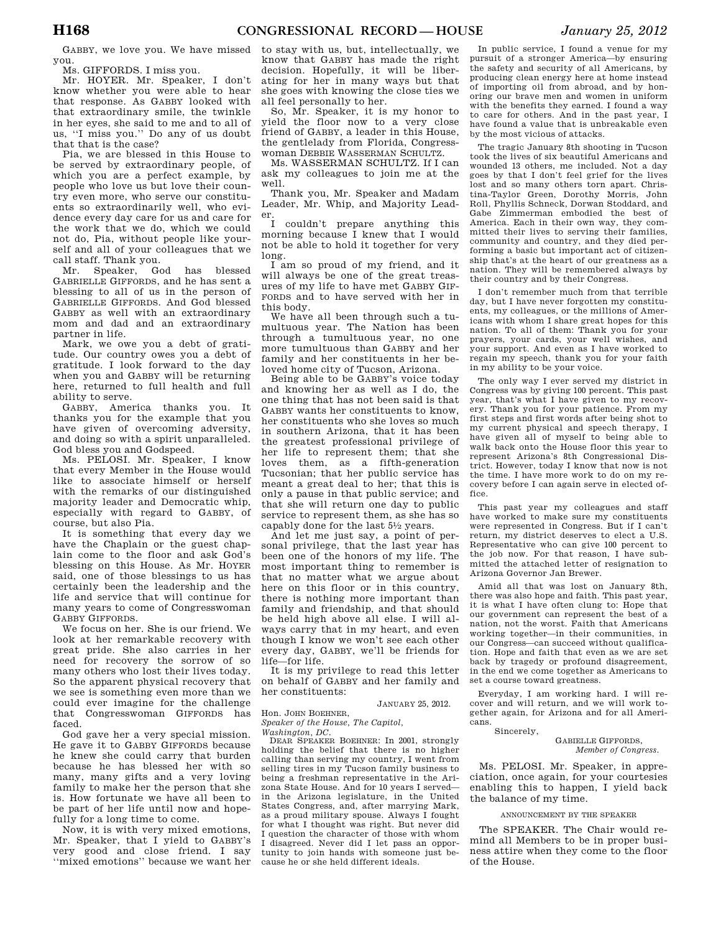GABBY, we love you. We have missed you.

Ms. GIFFORDS. I miss you.

Mr. HOYER. Mr. Speaker, I don't know whether you were able to hear that response. As GABBY looked with that extraordinary smile, the twinkle in her eyes, she said to me and to all of us, ''I miss you.'' Do any of us doubt that that is the case?

Pia, we are blessed in this House to be served by extraordinary people, of which you are a perfect example, by people who love us but love their country even more, who serve our constituents so extraordinarily well, who evidence every day care for us and care for the work that we do, which we could not do, Pia, without people like yourself and all of your colleagues that we call staff. Thank you.

Mr. Speaker, God has blessed GABRIELLE GIFFORDS, and he has sent a blessing to all of us in the person of GABRIELLE GIFFORDS. And God blessed GABBY as well with an extraordinary mom and dad and an extraordinary partner in life.

Mark, we owe you a debt of gratitude. Our country owes you a debt of gratitude. I look forward to the day when you and GABBY will be returning here, returned to full health and full ability to serve.

GABBY, America thanks you. It thanks you for the example that you have given of overcoming adversity, and doing so with a spirit unparalleled. God bless you and Godspeed.

Ms. PELOSI. Mr. Speaker, I know that every Member in the House would like to associate himself or herself with the remarks of our distinguished majority leader and Democratic whip, especially with regard to GABBY, of course, but also Pia.

It is something that every day we have the Chaplain or the guest chaplain come to the floor and ask God's blessing on this House. As Mr. HOYER said, one of those blessings to us has certainly been the leadership and the life and service that will continue for many years to come of Congresswoman GABBY GIFFORDS.

We focus on her. She is our friend. We look at her remarkable recovery with great pride. She also carries in her need for recovery the sorrow of so many others who lost their lives today. So the apparent physical recovery that we see is something even more than we could ever imagine for the challenge that Congresswoman GIFFORDS has faced.

God gave her a very special mission. He gave it to GABBY GIFFORDS because he knew she could carry that burden because he has blessed her with so many, many gifts and a very loving family to make her the person that she is. How fortunate we have all been to be part of her life until now and hopefully for a long time to come.

Now, it is with very mixed emotions, Mr. Speaker, that I yield to GABBY's very good and close friend. I say ''mixed emotions'' because we want her to stay with us, but, intellectually, we know that GABBY has made the right decision. Hopefully, it will be liberating for her in many ways but that she goes with knowing the close ties we all feel personally to her.

So, Mr. Speaker, it is my honor to yield the floor now to a very close friend of GABBY, a leader in this House, the gentlelady from Florida, Congresswoman DEBBIE WASSERMAN SCHULTZ.

Ms. WASSERMAN SCHULTZ. If I can ask my colleagues to join me at the well.

Thank you, Mr. Speaker and Madam Leader, Mr. Whip, and Majority Leader.

I couldn't prepare anything this morning because I knew that I would not be able to hold it together for very long.

I am so proud of my friend, and it will always be one of the great treasures of my life to have met GABBY GIF-FORDS and to have served with her in this body.

We have all been through such a tumultuous year. The Nation has been through a tumultuous year, no one more tumultuous than GABBY and her family and her constituents in her beloved home city of Tucson, Arizona.

Being able to be GABBY's voice today and knowing her as well as I do, the one thing that has not been said is that GABBY wants her constituents to know, her constituents who she loves so much in southern Arizona, that it has been the greatest professional privilege of her life to represent them; that she loves them, as a fifth-generation Tucsonian; that her public service has meant a great deal to her; that this is only a pause in that public service; and that she will return one day to public service to represent them, as she has so capably done for the last 51⁄2 years.

And let me just say, a point of personal privilege, that the last year has been one of the honors of my life. The most important thing to remember is that no matter what we argue about here on this floor or in this country, there is nothing more important than family and friendship, and that should be held high above all else. I will always carry that in my heart, and even though I know we won't see each other every day, GABBY, we'll be friends for life—for life.

It is my privilege to read this letter on behalf of GABBY and her family and her constituents:

JANUARY 25, 2012.

Hon. JOHN BOEHNER, *Speaker of the House, The Capitol, Washington, DC.* 

DEAR SPEAKER BOEHNER: In 2001, strongly holding the belief that there is no higher calling than serving my country, I went from selling tires in my Tucson family business to being a freshman representative in the Arizona State House. And for 10 years I served in the Arizona legislature, in the United States Congress, and, after marrying Mark, as a proud military spouse. Always I fought for what I thought was right. But never did I question the character of those with whom I disagreed. Never did I let pass an opportunity to join hands with someone just because he or she held different ideals.

In public service, I found a venue for my pursuit of a stronger America—by ensuring the safety and security of all Americans, by producing clean energy here at home instead of importing oil from abroad, and by honoring our brave men and women in uniform with the benefits they earned. I found a way to care for others. And in the past year, I have found a value that is unbreakable even by the most vicious of attacks.

The tragic January 8th shooting in Tucson took the lives of six beautiful Americans and wounded 13 others, me included. Not a day goes by that I don't feel grief for the lives lost and so many others torn apart. Christina-Taylor Green, Dorothy Morris, John Roll, Phyllis Schneck, Dorwan Stoddard, and Gabe Zimmerman embodied the best of America. Each in their own way, they committed their lives to serving their families, community and country, and they died performing a basic but important act of citizenship that's at the heart of our greatness as a nation. They will be remembered always by their country and by their Congress.

I don't remember much from that terrible day, but I have never forgotten my constituents, my colleagues, or the millions of Americans with whom I share great hopes for this nation. To all of them: Thank you for your prayers, your cards, your well wishes, and your support. And even as I have worked to regain my speech, thank you for your faith in my ability to be your voice.

The only way I ever served my district in Congress was by giving 100 percent. This past year, that's what I have given to my recovery. Thank you for your patience. From my first steps and first words after being shot to my current physical and speech therapy, I have given all of myself to being able to walk back onto the House floor this year to represent Arizona's 8th Congressional District. However, today I know that now is not the time. I have more work to do on my recovery before I can again serve in elected office.

This past year my colleagues and staff have worked to make sure my constituents were represented in Congress. But if I can't return, my district deserves to elect a U.S. Representative who can give 100 percent to the job now. For that reason, I have submitted the attached letter of resignation to Arizona Governor Jan Brewer.

Amid all that was lost on January 8th, there was also hope and faith. This past year, it is what I have often clung to: Hope that our government can represent the best of a nation, not the worst. Faith that Americans working together—in their communities, in our Congress—can succeed without qualification. Hope and faith that even as we are set back by tragedy or profound disagreement, in the end we come together as Americans to set a course toward greatness.

Everyday, I am working hard. I will recover and will return, and we will work together again, for Arizona and for all Americans.

Sincerely,

GABIELLE GIFFORDS, *Member of Congress.* 

Ms. PELOSI. Mr. Speaker, in appreciation, once again, for your courtesies enabling this to happen, I yield back the balance of my time.

ANNOUNCEMENT BY THE SPEAKER

The SPEAKER. The Chair would remind all Members to be in proper business attire when they come to the floor of the House.